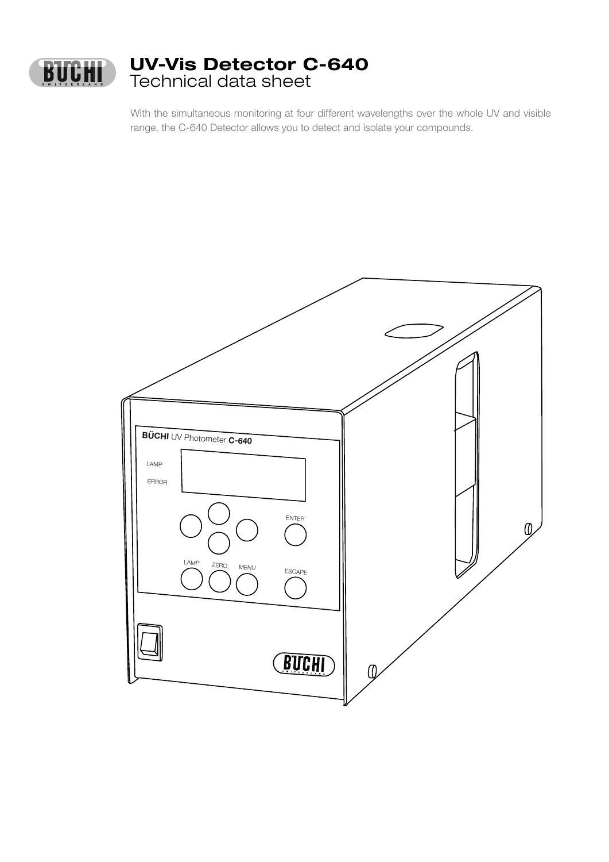

With the simultaneous monitoring at four different wavelengths over the whole UV and visible range, the C-640 Detector allows you to detect and isolate your compounds.

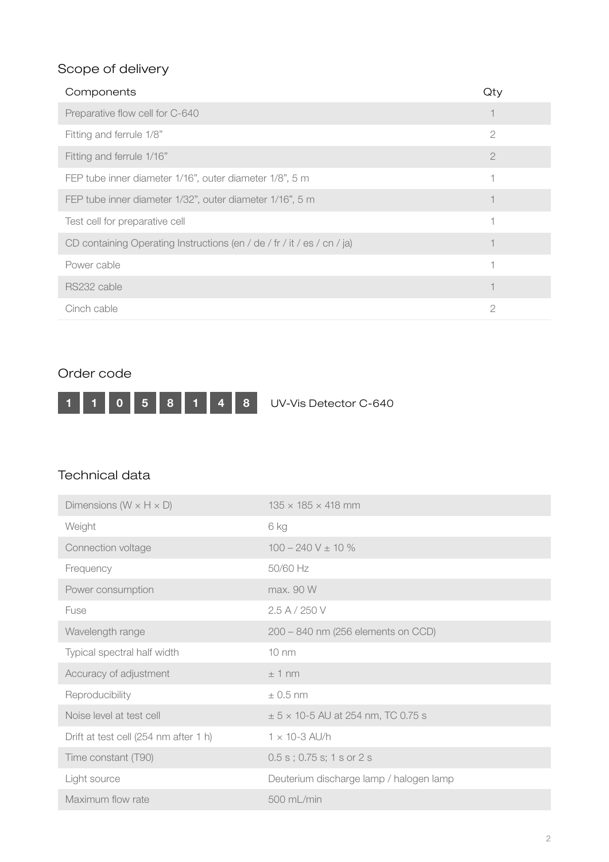# Scope of delivery

| Components                                                              | QT)            |
|-------------------------------------------------------------------------|----------------|
| Preparative flow cell for C-640                                         |                |
| Fitting and ferrule 1/8"                                                | $\overline{2}$ |
| Fitting and ferrule 1/16"                                               | $\overline{2}$ |
| FEP tube inner diameter 1/16", outer diameter 1/8", 5 m                 |                |
| FEP tube inner diameter 1/32", outer diameter 1/16", 5 m                |                |
| Test cell for preparative cell                                          |                |
| CD containing Operating Instructions (en / de / fr / it / es / cn / ja) |                |
| Power cable                                                             |                |
| RS232 cable                                                             |                |
| Cinch cable                                                             | $\overline{2}$ |

## Order code



## Technical data

| Dimensions ( $W \times H \times D$ )  | $135 \times 185 \times 418$ mm                |
|---------------------------------------|-----------------------------------------------|
| Weight                                | 6 kg                                          |
| Connection voltage                    | $100 - 240$ V $\pm$ 10 %                      |
| Frequency                             | 50/60 Hz                                      |
| Power consumption                     | max. 90 W                                     |
| Fuse                                  | 2.5 A / 250 V                                 |
| Wavelength range                      | 200 - 840 nm (256 elements on CCD)            |
| Typical spectral half width           | $10 \text{ nm}$                               |
| Accuracy of adjustment                | $±1$ nm                                       |
| Reproducibility                       | $\pm$ 0.5 nm                                  |
| Noise level at test cell              | $\pm$ 5 $\times$ 10-5 AU at 254 nm, TC 0.75 s |
| Drift at test cell (254 nm after 1 h) | $1 \times 10-3$ AU/h                          |
| Time constant (T90)                   | $0.5$ s; $0.75$ s; $1$ s or $2$ s             |
| Light source                          | Deuterium discharge lamp / halogen lamp       |
| Maximum flow rate                     | 500 mL/min                                    |